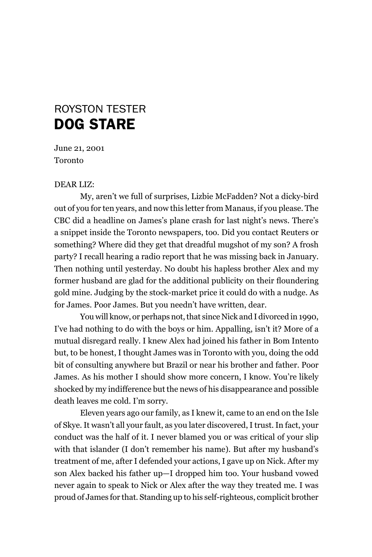## dog stArE roySTon TESTEr

June 21, 2001 Toronto

## DeAR lIZ:

my, aren't we full of surprises, lizbie mcFadden? not a dicky-bird out of you for ten years, and now this letter from manaus, if you please. The CBC did a headline on James's plane crash for last night's news. There's a snippet inside the Toronto newspapers, too. Did you contact Reuters or something? Where did they get that dreadful mugshot of my son? A frosh party? I recall hearing a radio report that he was missing back in January. Then nothing until yesterday. No doubt his hapless brother Alex and my former husband are glad for the additional publicity on their floundering gold mine. Judging by the stock-market price it could do with a nudge. As for James. Poor James. But you needn't have written, dear.

You will know, or perhaps not, that since Nick and I divorced in 1990, I've had nothing to do with the boys or him. Appalling, isn't it? more of a mutual disregard really. I knew Alex had joined his father in Bom Intento but, to be honest, I thought James was in Toronto with you, doing the odd bit of consulting anywhere but Brazil or near his brother and father. Poor James. As his mother I should show more concern, I know. You're likely shocked by my indifference but the news of his disappearance and possible death leaves me cold. I'm sorry.

Eleven years ago our family, as I knew it, came to an end on the Isle of Skye. It wasn't all your fault, as you later discovered, I trust. In fact, your conduct was the half of it. I never blamed you or was critical of your slip with that islander (I don't remember his name). But after my husband's treatment of me, after I defended your actions, I gave up on Nick. After my son Alex backed his father up—I dropped him too. Your husband vowed never again to speak to Nick or Alex after the way they treated me. I was proud of James for that. Standing up to his self-righteous, complicit brother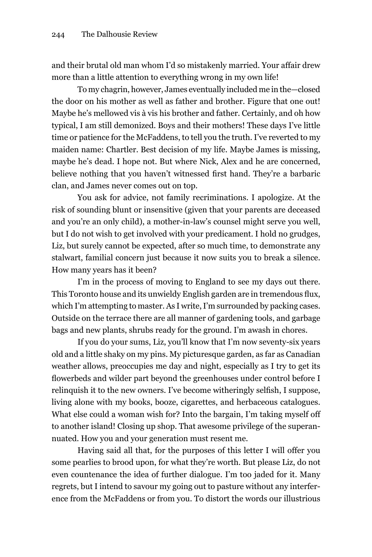and their brutal old man whom I'd so mistakenly married. Your affair drew more than a little attention to everything wrong in my own life!

To my chagrin, however, James eventually included me in the—closed the door on his mother as well as father and brother. Figure that one out! maybe he's mellowed vis à vis his brother and father. Certainly, and oh how typical, I am still demonized. Boys and their mothers! These days I've little time or patience for the mcFaddens, to tell you the truth. I've reverted to my maiden name: Chartler. Best decision of my life. maybe James is missing, maybe he's dead. I hope not. But where Nick, Alex and he are concerned, believe nothing that you haven't witnessed first hand. They're a barbaric clan, and James never comes out on top.

You ask for advice, not family recriminations. I apologize. At the risk of sounding blunt or insensitive (given that your parents are deceased and you're an only child), a mother-in-law's counsel might serve you well, but I do not wish to get involved with your predicament. I hold no grudges, Liz, but surely cannot be expected, after so much time, to demonstrate any stalwart, familial concern just because it now suits you to break a silence. how many years has it been?

I'm in the process of moving to England to see my days out there. This Toronto house and its unwieldy English garden are in tremendous flux, which I'm attempting to master. As I write, I'm surrounded by packing cases. outside on the terrace there are all manner of gardening tools, and garbage bags and new plants, shrubs ready for the ground. I'm awash in chores.

If you do your sums, liz, you'll know that I'm now seventy-six years old and a little shaky on my pins. my picturesque garden, as far as Canadian weather allows, preoccupies me day and night, especially as I try to get its flowerbeds and wilder part beyond the greenhouses under control before I relinquish it to the new owners. I've become witheringly selfish, I suppose, living alone with my books, booze, cigarettes, and herbaceous catalogues. What else could a woman wish for? Into the bargain, I'm taking myself off to another island! Closing up shop. That awesome privilege of the superannuated. how you and your generation must resent me.

having said all that, for the purposes of this letter I will offer you some pearlies to brood upon, for what they're worth. But please liz, do not even countenance the idea of further dialogue. I'm too jaded for it. many regrets, but I intend to savour my going out to pasture without any interference from the mcFaddens or from you. To distort the words our illustrious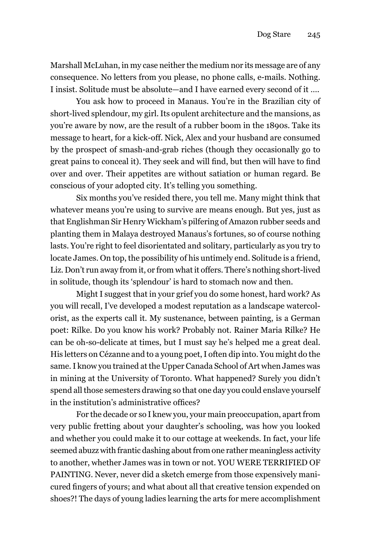marshall mcluhan, in my case neither the medium nor its message are of any consequence. no letters from you please, no phone calls, e-mails. nothing. I insist. Solitude must be absolute—and I have earned every second of it ….

You ask how to proceed in manaus. You're in the Brazilian city of short-lived splendour, my girl. Its opulent architecture and the mansions, as you're aware by now, are the result of a rubber boom in the 1890s. Take its message to heart, for a kick-off. nick, Alex and your husband are consumed by the prospect of smash-and-grab riches (though they occasionally go to great pains to conceal it). They seek and will find, but then will have to find over and over. Their appetites are without satiation or human regard. Be conscious of your adopted city. It's telling you something.

Six months you've resided there, you tell me. many might think that whatever means you're using to survive are means enough. But yes, just as that Englishman Sir Henry Wickham's pilfering of Amazon rubber seeds and planting them in malaya destroyed manaus's fortunes, so of course nothing lasts. You're right to feel disorientated and solitary, particularly as you try to locate James. On top, the possibility of his untimely end. Solitude is a friend, Liz. Don't run away from it, or from what it offers. There's nothing short-lived in solitude, though its 'splendour' is hard to stomach now and then.

might I suggest that in your grief you do some honest, hard work? As you will recall, I've developed a modest reputation as a landscape watercolorist, as the experts call it. my sustenance, between painting, is a german poet: Rilke. Do you know his work? Probably not. Rainer maria Rilke? he can be oh-so-delicate at times, but I must say he's helped me a great deal. his letters on Cézanne and to a young poet, I often dip into. You might do the same. I know you trained at the Upper Canada School of Art when James was in mining at the University of Toronto. What happened? Surely you didn't spend all those semesters drawing so that one day you could enslave yourself in the institution's administrative offices?

For the decade or so I knew you, your main preoccupation, apart from very public fretting about your daughter's schooling, was how you looked and whether you could make it to our cottage at weekends. In fact, your life seemed abuzz with frantic dashing about from one rather meaningless activity to another, whether James was in town or not. You WeRe TeRRIFIeD oF PAINTING. Never, never did a sketch emerge from those expensively manicured fingers of yours; and what about all that creative tension expended on shoes?! The days of young ladies learning the arts for mere accomplishment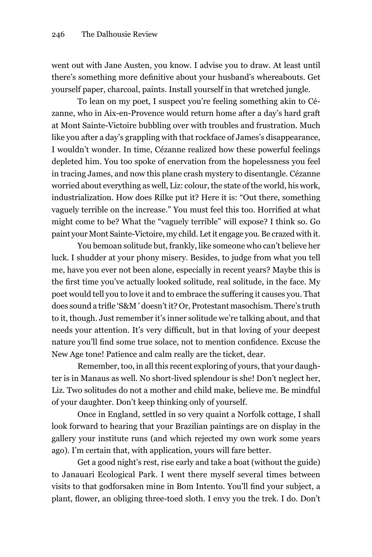went out with Jane Austen, you know. I advise you to draw. At least until there's something more definitive about your husband's whereabouts. Get yourself paper, charcoal, paints. Install yourself in that wretched jungle.

To lean on my poet, I suspect you're feeling something akin to Cézanne, who in Aix-en-Provence would return home after a day's hard graft at mont Sainte-Victoire bubbling over with troubles and frustration. much like you after a day's grappling with that rockface of James's disappearance, I wouldn't wonder. In time, Cézanne realized how these powerful feelings depleted him. You too spoke of enervation from the hopelessness you feel in tracing James, and now this plane crash mystery to disentangle. Cézanne worried about everything as well, liz: colour, the state of the world, his work, industrialization. How does Rilke put it? Here it is: "Out there, something vaguely terrible on the increase." You must feel this too. Horrified at what might come to be? What the "vaguely terrible" will expose? I think so. go paint your mont Sainte-Victoire, my child. let it engage you. Be crazed with it.

You bemoan solitude but, frankly, like someone who can't believe her luck. I shudder at your phony misery. Besides, to judge from what you tell me, have you ever not been alone, especially in recent years? maybe this is the first time you've actually looked solitude, real solitude, in the face. My poet would tell you to love it and to embrace the suffering it causes you. That does sound a trifle 'S&M ' doesn't it? Or, Protestant masochism. There's truth to it, though. Just remember it's inner solitude we're talking about, and that needs your attention. It's very difficult, but in that loving of your deepest nature you'll find some true solace, not to mention confidence. Excuse the New Age tone! Patience and calm really are the ticket, dear.

Remember, too, in all this recent exploring of yours, that your daughter is in manaus as well. no short-lived splendour is she! Don't neglect her, Liz. Two solitudes do not a mother and child make, believe me. Be mindful of your daughter. Don't keep thinking only of yourself.

Once in England, settled in so very quaint a Norfolk cottage, I shall look forward to hearing that your Brazilian paintings are on display in the gallery your institute runs (and which rejected my own work some years ago). I'm certain that, with application, yours will fare better.

Get a good night's rest, rise early and take a boat (without the guide) to Janauari Ecological Park. I went there myself several times between visits to that godforsaken mine in Bom Intento. You'll find your subject, a plant, flower, an obliging three-toed sloth. I envy you the trek. I do. Don't